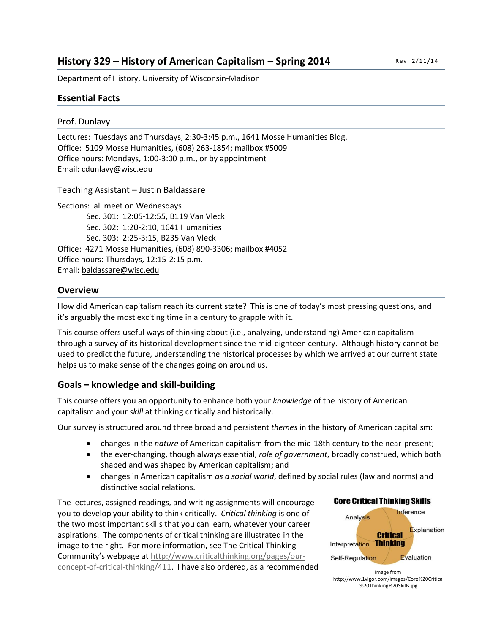# **History 329 – History of American Capitalism – Spring 2014**

Department of History, University of Wisconsin-Madison

# **Essential Facts**

## Prof. Dunlavy

Lectures: Tuesdays and Thursdays, 2:30-3:45 p.m., 1641 Mosse Humanities Bldg. Office: 5109 Mosse Humanities, (608) 263-1854; mailbox #5009 Office hours: Mondays, 1:00-3:00 p.m., or by appointment Email: [cdunlavy@wisc.edu](mailto:cdunlavy@wisc.edu)

#### Teaching Assistant – Justin Baldassare

Sections: all meet on Wednesdays Sec. 301: 12:05-12:55, B119 Van Vleck Sec. 302: 1:20-2:10, 1641 Humanities Sec. 303: 2:25-3:15, B235 Van Vleck Office: 4271 Mosse Humanities, (608) 890-3306; mailbox #4052 Office hours: Thursdays, 12:15-2:15 p.m. Email: [baldassare@wisc.edu](mailto:baldassare@wisc.edu)

## **Overview**

How did American capitalism reach its current state? This is one of today's most pressing questions, and it's arguably the most exciting time in a century to grapple with it.

This course offers useful ways of thinking about (i.e., analyzing, understanding) American capitalism through a survey of its historical development since the mid-eighteen century. Although history cannot be used to predict the future, understanding the historical processes by which we arrived at our current state helps us to make sense of the changes going on around us.

# **Goals – knowledge and skill-building**

This course offers you an opportunity to enhance both your *knowledge* of the history of American capitalism and your *skill* at thinking critically and historically.

Our survey is structured around three broad and persistent *themes* in the history of American capitalism:

- changes in the *nature* of American capitalism from the mid-18th century to the near-present;
- the ever-changing, though always essential, *role of government*, broadly construed, which both shaped and was shaped by American capitalism; and
- changes in American capitalism *as a social world*, defined by social rules (law and norms) and distinctive social relations.

The lectures, assigned readings, and writing assignments will encourage you to develop your ability to think critically. *Critical thinking* is one of the two most important skills that you can learn, whatever your career aspirations. The components of critical thinking are illustrated in the image to the right. For more information, see The Critical Thinking Community's webpage at [http://www.criticalthinking.org/pages/our](http://www.criticalthinking.org/pages/our-concept-of-critical-thinking/411)[concept-of-critical-thinking/411.](http://www.criticalthinking.org/pages/our-concept-of-critical-thinking/411) I have also ordered, as a recommended



http://www.1vigor.com/images/Core%20Critica l%20Thinking%20Skills.jpg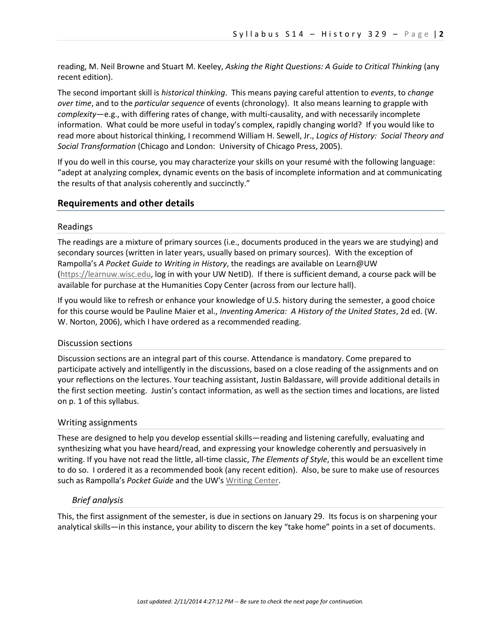reading, M. Neil Browne and Stuart M. Keeley, *Asking the Right Questions: A Guide to Critical Thinking* (any recent edition).

The second important skill is *historical thinking*. This means paying careful attention to *events*, to *change over time*, and to the *particular sequence* of events (chronology). It also means learning to grapple with *complexity*—e.g., with differing rates of change, with multi-causality, and with necessarily incomplete information. What could be more useful in today's complex, rapidly changing world? If you would like to read more about historical thinking, I recommend William H. Sewell, Jr., *Logics of History: Social Theory and Social Transformation* (Chicago and London: University of Chicago Press, 2005).

If you do well in this course, you may characterize your skills on your resumé with the following language: "adept at analyzing complex, dynamic events on the basis of incomplete information and at communicating the results of that analysis coherently and succinctly."

#### **Requirements and other details**

#### Readings

The readings are a mixture of primary sources (i.e., documents produced in the years we are studying) and secondary sources (written in later years, usually based on primary sources). With the exception of Rampolla's *A Pocket Guide to Writing in History*, the readings are available on Learn@UW [\(https://learnuw.wisc.edu,](https://learnuw.wisc.edu/) log in with your UW NetID). If there is sufficient demand, a course pack will be available for purchase at the Humanities Copy Center (across from our lecture hall).

If you would like to refresh or enhance your knowledge of U.S. history during the semester, a good choice for this course would be Pauline Maier et al., *Inventing America: A History of the United States*, 2d ed. (W. W. Norton, 2006), which I have ordered as a recommended reading.

#### Discussion sections

Discussion sections are an integral part of this course. Attendance is mandatory. Come prepared to participate actively and intelligently in the discussions, based on a close reading of the assignments and on your reflections on the lectures. Your teaching assistant, Justin Baldassare, will provide additional details in the first section meeting. Justin's contact information, as well as the section times and locations, are listed on p. 1 of this syllabus.

#### Writing assignments

These are designed to help you develop essential skills—reading and listening carefully, evaluating and synthesizing what you have heard/read, and expressing your knowledge coherently and persuasively in writing. If you have not read the little, all-time classic, *The Elements of Style*, this would be an excellent time to do so. I ordered it as a recommended book (any recent edition). Also, be sure to make use of resources such as Rampolla's *Pocket Guide* and the UW's [Writing Center.](http://writing.wisc.edu/)

#### *Brief analysis*

This, the first assignment of the semester, is due in sections on January 29. Its focus is on sharpening your analytical skills—in this instance, your ability to discern the key "take home" points in a set of documents.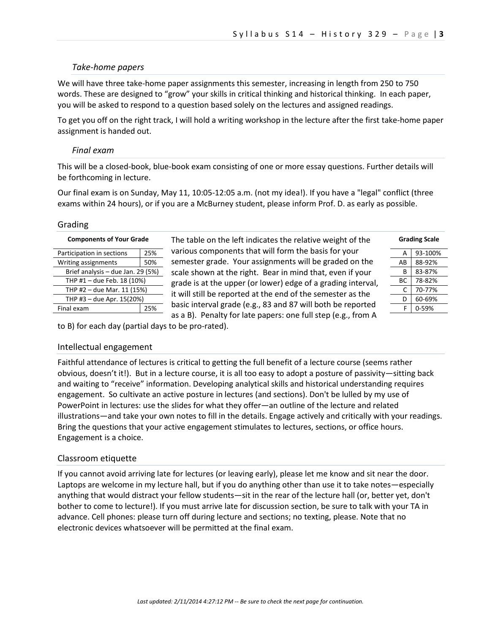#### *Take-home papers*

We will have three take-home paper assignments this semester, increasing in length from 250 to 750 words. These are designed to "grow" your skills in critical thinking and historical thinking. In each paper, you will be asked to respond to a question based solely on the lectures and assigned readings.

To get you off on the right track, I will hold a writing workshop in the lecture after the first take-home paper assignment is handed out.

#### *Final exam*

This will be a closed-book, blue-book exam consisting of one or more essay questions. Further details will be forthcoming in lecture.

Our final exam is on Sunday, May 11, 10:05-12:05 a.m. (not my idea!). If you have a "legal" conflict (three exams within 24 hours), or if you are a McBurney student, please inform Prof. D. as early as possible.

#### Grading

| <b>Components of Your Grade</b>   |     |  |
|-----------------------------------|-----|--|
| Participation in sections         | 25% |  |
| Writing assignments               | 50% |  |
| Brief analysis - due Jan. 29 (5%) |     |  |
| THP #1 - due Feb. 18 (10%)        |     |  |
| THP #2 - due Mar. 11 (15%)        |     |  |
| THP #3 - due Apr. 15(20%)         |     |  |
| Final exam                        | 25% |  |

The table on the left indicates the relative weight of the various components that will form the basis for your  $\frac{1}{2}$  semester grade. Your assignments will be graded on the scale shown at the right. Bear in mind that, even if your 1. grade is at the upper (or lower) edge of a grading interval, - it will still be reported at the end of the semester as the basic interval grade (e.g., 83 and 87 will both be reported as a B). Penalty for late papers: one full step (e.g., from A

| <b>Grading Scale</b> |         |  |
|----------------------|---------|--|
| А                    | 93-100% |  |
| ΑR                   | 88-92%  |  |
| R                    | 83-87%  |  |
| ВC                   | 78-82%  |  |
| C                    | 70-77%  |  |
| D                    | 60-69%  |  |
| F                    | 0-59%   |  |

to B) for each day (partial days to be pro-rated).

#### Intellectual engagement

Faithful attendance of lectures is critical to getting the full benefit of a lecture course (seems rather obvious, doesn't it!). But in a lecture course, it is all too easy to adopt a posture of passivity—sitting back and waiting to "receive" information. Developing analytical skills and historical understanding requires engagement. So cultivate an active posture in lectures (and sections). Don't be lulled by my use of PowerPoint in lectures: use the slides for what they offer—an outline of the lecture and related illustrations—and take your own notes to fill in the details. Engage actively and critically with your readings. Bring the questions that your active engagement stimulates to lectures, sections, or office hours. Engagement is a choice.

#### Classroom etiquette

If you cannot avoid arriving late for lectures (or leaving early), please let me know and sit near the door. Laptops are welcome in my lecture hall, but if you do anything other than use it to take notes—especially anything that would distract your fellow students—sit in the rear of the lecture hall (or, better yet, don't bother to come to lecture!). If you must arrive late for discussion section, be sure to talk with your TA in advance. Cell phones: please turn off during lecture and sections; no texting, please. Note that no electronic devices whatsoever will be permitted at the final exam.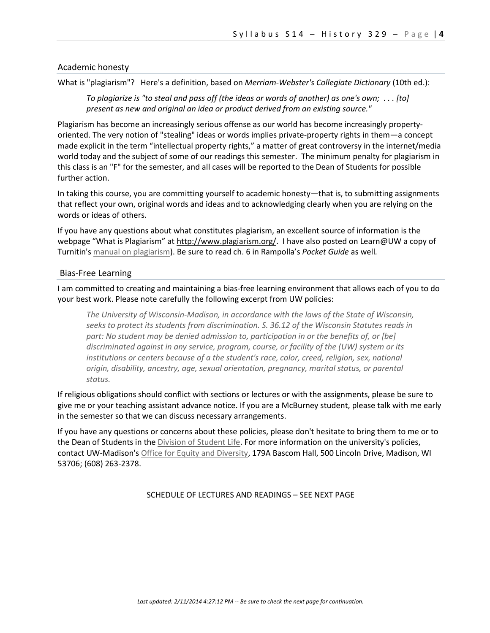#### Academic honesty

What is "plagiarism"? Here's a definition, based on *Merriam-Webster's Collegiate Dictionary* (10th ed.):

*To plagiarize is "to steal and pass off (the ideas or words of another) as one's own; . . . [to] present as new and original an idea or product derived from an existing source."*

Plagiarism has become an increasingly serious offense as our world has become increasingly propertyoriented. The very notion of "stealing" ideas or words implies private-property rights in them—a concept made explicit in the term "intellectual property rights," a matter of great controversy in the internet/media world today and the subject of some of our readings this semester. The minimum penalty for plagiarism in this class is an "F" for the semester, and all cases will be reported to the Dean of Students for possible further action.

In taking this course, you are committing yourself to academic honesty—that is, to submitting assignments that reflect your own, original words and ideas and to acknowledging clearly when you are relying on the words or ideas of others.

If you have any questions about what constitutes plagiarism, an excellent source of information is the webpage "What is Plagiarism" a[t http://www.plagiarism.org/.](http://www.plagiarism.org/) I have also posted on Learn@UW a copy of Turnitin'[s manual on plagiarism\)](http://history.wisc.edu/dunlavy/me/Plagiarism.pdf). Be sure to read ch. 6 in Rampolla's *Pocket Guide* as well*.*

#### Bias-Free Learning

I am committed to creating and maintaining a bias-free learning environment that allows each of you to do your best work. Please note carefully the following excerpt from UW policies:

*The University of Wisconsin-Madison, in accordance with the laws of the State of Wisconsin, seeks to protect its students from discrimination. S. 36.12 of the Wisconsin Statutes reads in part: No student may be denied admission to, participation in or the benefits of, or [be] discriminated against in any service, program, course, or facility of the (UW) system or its institutions or centers because of a the student's race, color, creed, religion, sex, national origin, disability, ancestry, age, sexual orientation, pregnancy, marital status, or parental status.*

If religious obligations should conflict with sections or lectures or with the assignments, please be sure to give me or your teaching assistant advance notice. If you are a McBurney student, please talk with me early in the semester so that we can discuss necessary arrangements.

If you have any questions or concerns about these policies, please don't hesitate to bring them to me or to the Dean of Students in the [Division of Student Life.](http://www.students.wisc.edu/) For more information on the university's policies, contact UW-Madison's [Office for Equity and Diversity,](http://www.oed.wisc.edu/) 179A Bascom Hall, 500 Lincoln Drive, Madison, WI 53706; (608) 263-2378.

SCHEDULE OF LECTURES AND READINGS – SEE NEXT PAGE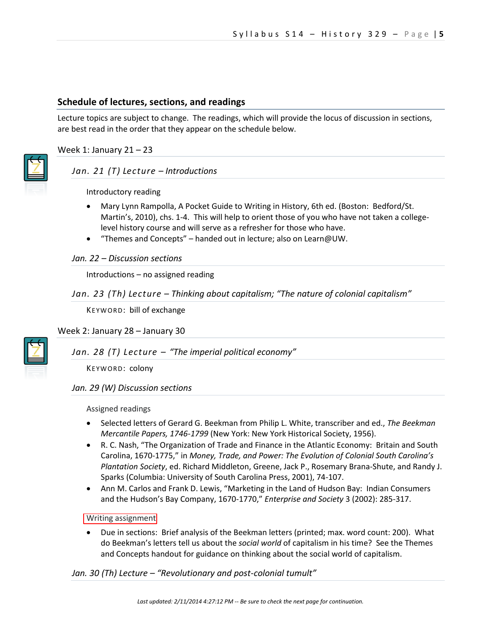# **Schedule of lectures, sections, and readings**

Lecture topics are subject to change. The readings, which will provide the locus of discussion in sections, are best read in the order that they appear on the schedule below.

Week 1: January  $21 - 23$ 

## *Jan. 21 (T) Lecture – Introductions*

Introductory reading

- Mary Lynn Rampolla, A Pocket Guide to Writing in History, 6th ed. (Boston: Bedford/St. Martin's, 2010), chs. 1-4. This will help to orient those of you who have not taken a collegelevel history course and will serve as a refresher for those who have.
- "Themes and Concepts" handed out in lecture; also on Learn@UW.

#### *Jan. 22 – Discussion sections*

Introductions – no assigned reading

## *Jan. 23 (Th) Lecture – Thinking about capitalism; "The nature of colonial capitalism"*

KEYWORD: bill of exchange

Week 2: January 28 – January 30

*Jan. 28 (T) Lecture – "The imperial political economy"*

KEYWORD: colony

## *Jan. 29 (W) Discussion sections*

Assigned readings

- Selected letters of Gerard G. Beekman from Philip L. White, transcriber and ed., *The Beekman Mercantile Papers, 1746-1799* (New York: New York Historical Society, 1956).
- R. C. Nash, "The Organization of Trade and Finance in the Atlantic Economy: Britain and South Carolina, 1670-1775," in *Money, Trade, and Power: The Evolution of Colonial South Carolina's Plantation Society*, ed. Richard Middleton, Greene, Jack P., Rosemary Brana-Shute, and Randy J. Sparks (Columbia: University of South Carolina Press, 2001), 74-107.
- Ann M. Carlos and Frank D. Lewis, "Marketing in the Land of Hudson Bay: Indian Consumers and the Hudson's Bay Company, 1670-1770," *Enterprise and Society* 3 (2002): 285-317.

## **Writing assignment**

 Due in sections: Brief analysis of the Beekman letters (printed; max. word count: 200). What do Beekman's letters tell us about the *social world* of capitalism in his time? See the Themes and Concepts handout for guidance on thinking about the social world of capitalism.

## *Jan. 30 (Th) Lecture – "Revolutionary and post-colonial tumult"*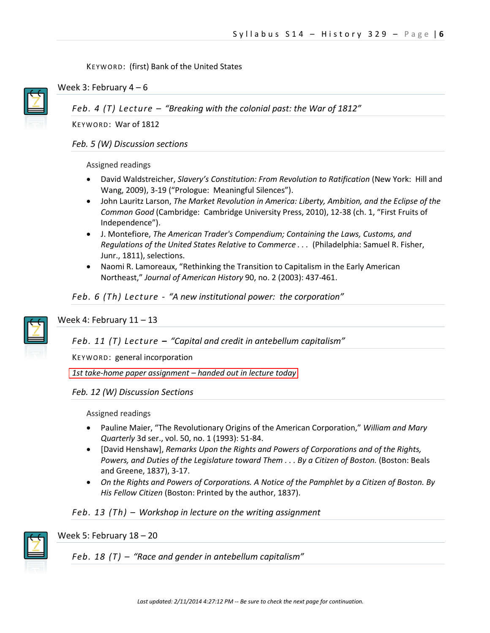## KEYWORD: (first) Bank of the United States



Week 3: February  $4-6$ 

*Feb. 4 (T) Lecture – "Breaking with the colonial past: the War of 1812"*

KEYWORD: War of 1812

*Feb. 5 (W) Discussion sections*

#### Assigned readings

- David Waldstreicher, *Slavery's Constitution: From Revolution to Ratification* (New York: Hill and Wang, 2009), 3-19 ("Prologue: Meaningful Silences").
- John Lauritz Larson, *The Market Revolution in America: Liberty, Ambition, and the Eclipse of the Common Good* (Cambridge: Cambridge University Press, 2010), 12-38 (ch. 1, "First Fruits of Independence").
- J. Montefiore, *The American Trader's Compendium; Containing the Laws, Customs, and Regulations of the United States Relative to Commerce . . .* (Philadelphia: Samuel R. Fisher, Junr., 1811), selections.
- Naomi R. Lamoreaux, "Rethinking the Transition to Capitalism in the Early American Northeast," *Journal of American History* 90, no. 2 (2003): 437-461.

## *Feb. 6 (Th) Lecture - "A new institutional power: the corporation"*



Week 4: February  $11 - 13$ 

*Feb. 11 (T) Lecture – "Capital and credit in antebellum capitalism"* 

KEYWORD: general incorporation

*1st take-home paper assignment – handed out in lecture today*

# *Feb. 12 (W) Discussion Sections*

Assigned readings

- Pauline Maier, "The Revolutionary Origins of the American Corporation," *William and Mary Quarterly* 3d ser., vol. 50, no. 1 (1993): 51-84.
- [David Henshaw], *Remarks Upon the Rights and Powers of Corporations and of the Rights, Powers, and Duties of the Legislature toward Them . . . By a Citizen of Boston.* (Boston: Beals and Greene, 1837), 3-17.
- *On the Rights and Powers of Corporations. A Notice of the Pamphlet by a Citizen of Boston. By His Fellow Citizen* (Boston: Printed by the author, 1837).

*Feb. 13 (Th) – Workshop in lecture on the writing assignment* 



# Week 5: February 18 – 20

*Feb. 18 (T) – "Race and gender in antebellum capitalism"*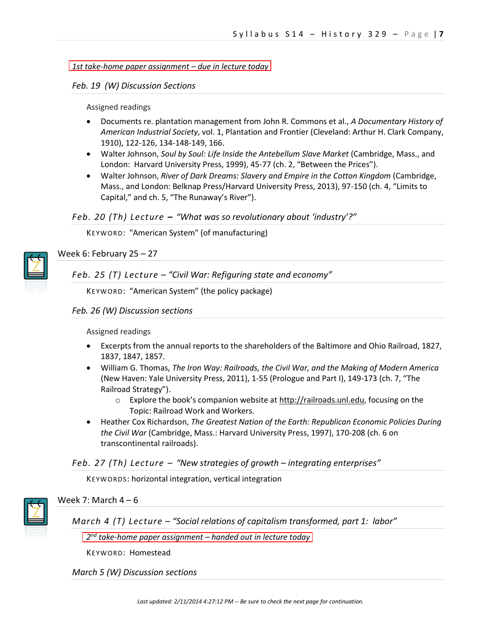*1st take-home paper assignment – due in lecture today*

*Feb. 19 (W) Discussion Sections*

Assigned readings

- Documents re. plantation management from John R. Commons et al., *A Documentary History of American Industrial Society*, vol. 1, Plantation and Frontier (Cleveland: Arthur H. Clark Company, 1910), 122-126, 134-148-149, 166.
- Walter Johnson, *Soul by Soul: Life Inside the Antebellum Slave Market* (Cambridge, Mass., and London: Harvard University Press, 1999), 45-77 (ch. 2, "Between the Prices").
- Walter Johnson, *River of Dark Dreams: Slavery and Empire in the Cotton Kingdom* (Cambridge, Mass., and London: Belknap Press/Harvard University Press, 2013), 97-150 (ch. 4, "Limits to Capital," and ch. 5, "The Runaway's River").

## *Feb. 20 (Th) Lecture – "What was so revolutionary about 'industry'?"*

KEYWORD: "American System" (of manufacturing)



Week 6: February 25 – 27

*Feb. 25 (T) Lecture – "Civil War: Refiguring state and economy"*

KEYWORD: "American System" (the policy package)

## *Feb. 26 (W) Discussion sections*

Assigned readings

- Excerpts from the annual reports to the shareholders of the Baltimore and Ohio Railroad, 1827, 1837, 1847, 1857.
- William G. Thomas, *The Iron Way: Railroads, the Civil War, and the Making of Modern America* (New Haven: Yale University Press, 2011), 1-55 (Prologue and Part I), 149-173 (ch. 7, "The Railroad Strategy").
	- $\circ$  Explore the book's companion website at [http://railroads.unl.edu,](http://railroads.unl.edu/) focusing on the Topic: Railroad Work and Workers.
- Heather Cox Richardson, *The Greatest Nation of the Earth: Republican Economic Policies During the Civil War* (Cambridge, Mass.: Harvard University Press, 1997), 170-208 (ch. 6 on transcontinental railroads).

## *Feb. 27 (Th) Lecture – "New strategies of growth – integrating enterprises"*

KEYWORDS: horizontal integration, vertical integration



## Week 7: March  $4 - 6$

*March 4 (T) Lecture – "Social relations of capitalism transformed, part 1: labor"* 

*2 nd take-home paper assignment – handed out in lecture today* 

KEYWORD: Homestead

## *March 5 (W) Discussion sections*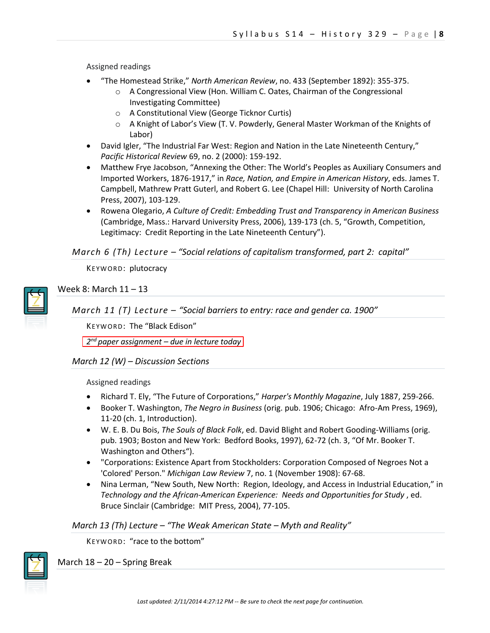Assigned readings

- "The Homestead Strike," *North American Review*, no. 433 (September 1892): 355-375.
	- o A Congressional View (Hon. William C. Oates, Chairman of the Congressional Investigating Committee)
	- o A Constitutional View (George Ticknor Curtis)
	- $\circ$  A Knight of Labor's View (T. V. Powderly, General Master Workman of the Knights of Labor)
- David Igler, "The Industrial Far West: Region and Nation in the Late Nineteenth Century," *Pacific Historical Review* 69, no. 2 (2000): 159-192.
- Matthew Frye Jacobson, "Annexing the Other: The World's Peoples as Auxiliary Consumers and Imported Workers, 1876-1917," in *Race, Nation, and Empire in American History*, eds. James T. Campbell, Mathrew Pratt Guterl, and Robert G. Lee (Chapel Hill: University of North Carolina Press, 2007), 103-129.
- Rowena Olegario, *A Culture of Credit: Embedding Trust and Transparency in American Business* (Cambridge, Mass.: Harvard University Press, 2006), 139-173 (ch. 5, "Growth, Competition, Legitimacy: Credit Reporting in the Late Nineteenth Century").

# *March 6 (Th) Lecture – "Social relations of capitalism transformed, part 2: capital"*

KEYWORD: plutocracy



Week 8: March 11 – 13

*March 11 (T) Lecture – "Social barriers to entry: race and gender ca. 1900"*

KEYWORD: The "Black Edison"

*2 nd paper assignment – due in lecture today* 

## *March 12 (W) – Discussion Sections*

Assigned readings

- Richard T. Ely, "The Future of Corporations," *Harper's Monthly Magazine*, July 1887, 259-266.
- Booker T. Washington, *The Negro in Business* (orig. pub. 1906; Chicago: Afro-Am Press, 1969), 11-20 (ch. 1, Introduction).
- W. E. B. Du Bois, *The Souls of Black Folk*, ed. David Blight and Robert Gooding-Williams (orig. pub. 1903; Boston and New York: Bedford Books, 1997), 62-72 (ch. 3, "Of Mr. Booker T. Washington and Others").
- "Corporations: Existence Apart from Stockholders: Corporation Composed of Negroes Not a 'Colored' Person." *Michigan Law Review* 7, no. 1 (November 1908): 67-68.
- Nina Lerman, "New South, New North: Region, Ideology, and Access in Industrial Education," in *Technology and the African-American Experience: Needs and Opportunities for Study* , ed. Bruce Sinclair (Cambridge: MIT Press, 2004), 77-105.

*March 13 (Th) Lecture – "The Weak American State – Myth and Reality"* 

KEYWORD: "race to the bottom"



March 18 – 20 – Spring Break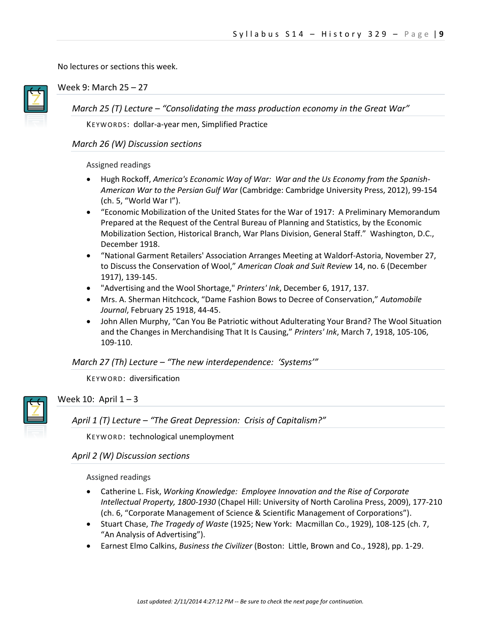No lectures or sections this week.



Week 9: March 25 – 27

*March 25 (T) Lecture – "Consolidating the mass production economy in the Great War"*

KEYWORDS: dollar-a-year men, Simplified Practice

## *March 26 (W) Discussion sections*

#### Assigned readings

- Hugh Rockoff, *America's Economic Way of War: War and the Us Economy from the Spanish-American War to the Persian Gulf War* (Cambridge: Cambridge University Press, 2012), 99-154 (ch. 5, "World War I").
- "Economic Mobilization of the United States for the War of 1917: A Preliminary Memorandum Prepared at the Request of the Central Bureau of Planning and Statistics, by the Economic Mobilization Section, Historical Branch, War Plans Division, General Staff." Washington, D.C., December 1918.
- "National Garment Retailers' Association Arranges Meeting at Waldorf-Astoria, November 27, to Discuss the Conservation of Wool," *American Cloak and Suit Review* 14, no. 6 (December 1917), 139-145.
- "Advertising and the Wool Shortage," *Printers' Ink*, December 6, 1917, 137.
- Mrs. A. Sherman Hitchcock, "Dame Fashion Bows to Decree of Conservation," *Automobile Journal*, February 25 1918, 44-45.
- John Allen Murphy, "Can You Be Patriotic without Adulterating Your Brand? The Wool Situation and the Changes in Merchandising That It Is Causing," *Printers' Ink*, March 7, 1918, 105-106, 109-110.

# *March 27 (Th) Lecture – "The new interdependence: 'Systems'"*

KEYWORD: diversification



# Week 10: April  $1 - 3$

*April 1 (T) Lecture – "The Great Depression: Crisis of Capitalism?"*

KEYWORD: technological unemployment

# *April 2 (W) Discussion sections*

Assigned readings

- Catherine L. Fisk, *Working Knowledge: Employee Innovation and the Rise of Corporate Intellectual Property, 1800-1930* (Chapel Hill: University of North Carolina Press, 2009), 177-210 (ch. 6, "Corporate Management of Science & Scientific Management of Corporations").
- Stuart Chase, *The Tragedy of Waste* (1925; New York: Macmillan Co., 1929), 108-125 (ch. 7, "An Analysis of Advertising").
- Earnest Elmo Calkins, *Business the Civilizer* (Boston: Little, Brown and Co., 1928), pp. 1-29.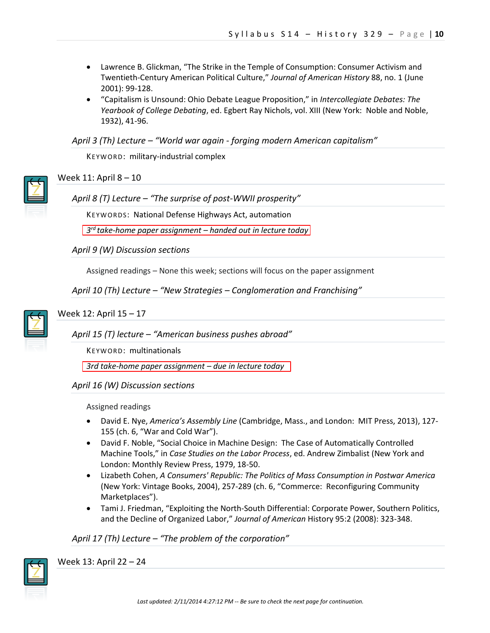- Lawrence B. Glickman, "The Strike in the Temple of Consumption: Consumer Activism and Twentieth-Century American Political Culture," *Journal of American History* 88, no. 1 (June 2001): 99-128.
- "Capitalism is Unsound: Ohio Debate League Proposition," in *Intercollegiate Debates: The Yearbook of College Debating*, ed. Egbert Ray Nichols, vol. XIII (New York: Noble and Noble, 1932), 41-96.

*April 3 (Th) Lecture – "World war again - forging modern American capitalism"*

KEYWORD: military-industrial complex



# Week 11: April 8 – 10

*April 8 (T) Lecture – "The surprise of post-WWII prosperity"*

KEYWORDS: National Defense Highways Act, automation

*3 rd take-home paper assignment – handed out in lecture today*

*April 9 (W) Discussion sections*

Assigned readings – None this week; sections will focus on the paper assignment

*April 10 (Th) Lecture – "New Strategies – Conglomeration and Franchising"*



Week 12: April 15 – 17

*April 15 (T) lecture – "American business pushes abroad"*

KEYWORD: multinationals

*3rd take-home paper assignment – due in lecture today*

*April 16 (W) Discussion sections*

Assigned readings

- David E. Nye, *America's Assembly Line* (Cambridge, Mass., and London: MIT Press, 2013), 127- 155 (ch. 6, "War and Cold War").
- David F. Noble, "Social Choice in Machine Design: The Case of Automatically Controlled Machine Tools," in *Case Studies on the Labor Process*, ed. Andrew Zimbalist (New York and London: Monthly Review Press, 1979, 18-50.
- Lizabeth Cohen, *A Consumers' Republic: The Politics of Mass Consumption in Postwar America* (New York: Vintage Books, 2004), 257-289 (ch. 6, "Commerce: Reconfiguring Community Marketplaces").
- Tami J. Friedman, "Exploiting the North-South Differential: Corporate Power, Southern Politics, and the Decline of Organized Labor," *Journal of American* History 95:2 (2008): 323-348.

## *April 17 (Th) Lecture – "The problem of the corporation"*



Week 13: April 22 – 24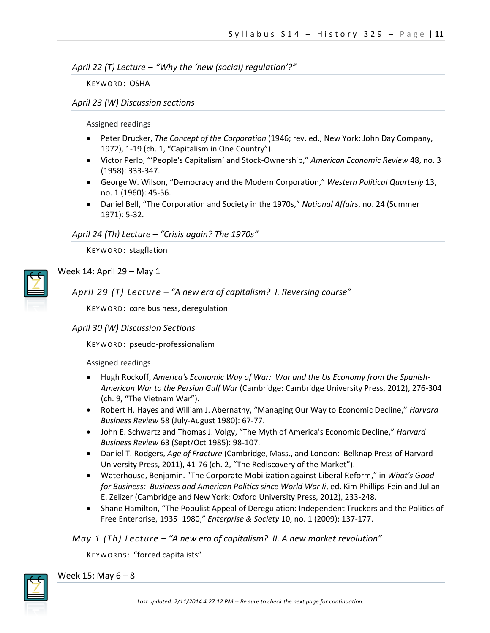## *April 22 (T) Lecture – "Why the 'new (social) regulation'?"*

KEYWORD: OSHA

## *April 23 (W) Discussion sections*

Assigned readings

- Peter Drucker, *The Concept of the Corporation* (1946; rev. ed., New York: John Day Company, 1972), 1-19 (ch. 1, "Capitalism in One Country").
- Victor Perlo, "'People's Capitalism' and Stock-Ownership," *American Economic Review* 48, no. 3 (1958): 333-347.
- George W. Wilson, "Democracy and the Modern Corporation," *Western Political Quarterly* 13, no. 1 (1960): 45-56.
- Daniel Bell, "The Corporation and Society in the 1970s," *National Affairs*, no. 24 (Summer 1971): 5-32.

# *April 24 (Th) Lecture – "Crisis again? The 1970s"*

KEYWORD: stagflation



# Week 14: April 29 – May 1

*April 29 (T) Lecture – "A new era of capitalism? I. Reversing course"*

KEYWORD: core business, deregulation

# *April 30 (W) Discussion Sections*

KEYWORD: pseudo-professionalism

Assigned readings

- Hugh Rockoff, *America's Economic Way of War: War and the Us Economy from the Spanish-American War to the Persian Gulf War* (Cambridge: Cambridge University Press, 2012), 276-304 (ch. 9, "The Vietnam War").
- Robert H. Hayes and William J. Abernathy, "Managing Our Way to Economic Decline," *Harvard Business Review* 58 (July-August 1980): 67-77.
- John E. Schwartz and Thomas J. Volgy, "The Myth of America's Economic Decline," *Harvard Business Review* 63 (Sept/Oct 1985): 98-107.
- Daniel T. Rodgers, *Age of Fracture* (Cambridge, Mass., and London: Belknap Press of Harvard University Press, 2011), 41-76 (ch. 2, "The Rediscovery of the Market").
- Waterhouse, Benjamin. "The Corporate Mobilization against Liberal Reform," in *What's Good for Business: Business and American Politics since World War Ii*, ed. Kim Phillips-Fein and Julian E. Zelizer (Cambridge and New York: Oxford University Press, 2012), 233-248.
- Shane Hamilton, "The Populist Appeal of Deregulation: Independent Truckers and the Politics of Free Enterprise, 1935–1980," *Enterprise & Society* 10, no. 1 (2009): 137-177.

# *May 1 (Th) Lecture – "A new era of capitalism? II. A new market revolution"*

KEYWORDS: "forced capitalists"



Week 15: May  $6 - 8$